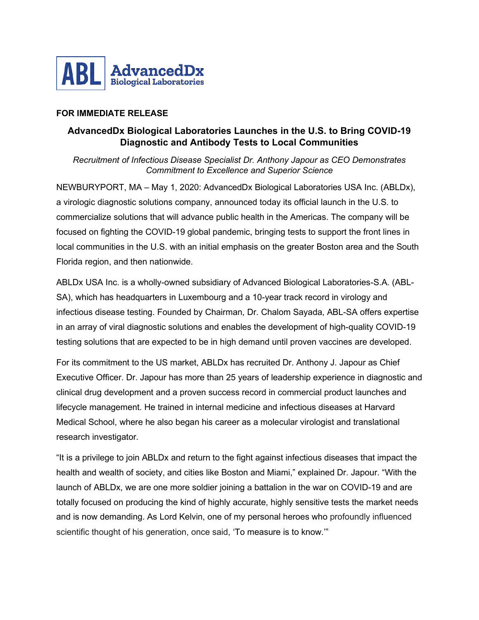

## **FOR IMMEDIATE RELEASE**

## **AdvancedDx Biological Laboratories Launches in the U.S. to Bring COVID-19 Diagnostic and Antibody Tests to Local Communities**

*Recruitment of Infectious Disease Specialist Dr. Anthony Japour as CEO Demonstrates Commitment to Excellence and Superior Science*

NEWBURYPORT, MA – May 1, 2020: AdvancedDx Biological Laboratories USA Inc. (ABLDx), a virologic diagnostic solutions company, announced today its official launch in the U.S. to commercialize solutions that will advance public health in the Americas. The company will be focused on fighting the COVID-19 global pandemic, bringing tests to support the front lines in local communities in the U.S. with an initial emphasis on the greater Boston area and the South Florida region, and then nationwide.

ABLDx USA Inc. is a wholly-owned subsidiary of Advanced Biological Laboratories-S.A. (ABL-SA), which has headquarters in Luxembourg and a 10-year track record in virology and infectious disease testing. Founded by Chairman, Dr. Chalom Sayada, ABL-SA offers expertise in an array of viral diagnostic solutions and enables the development of high-quality COVID-19 testing solutions that are expected to be in high demand until proven vaccines are developed.

For its commitment to the US market, ABLDx has recruited Dr. Anthony J. Japour as Chief Executive Officer. Dr. Japour has more than 25 years of leadership experience in diagnostic and clinical drug development and a proven success record in commercial product launches and lifecycle management. He trained in internal medicine and infectious diseases at Harvard Medical School, where he also began his career as a molecular virologist and translational research investigator.

"It is a privilege to join ABLDx and return to the fight against infectious diseases that impact the health and wealth of society, and cities like Boston and Miami," explained Dr. Japour. "With the launch of ABLDx, we are one more soldier joining a battalion in the war on COVID-19 and are totally focused on producing the kind of highly accurate, highly sensitive tests the market needs and is now demanding. As Lord Kelvin, one of my personal heroes who profoundly influenced scientific thought of his generation, once said, 'To measure is to know.'"